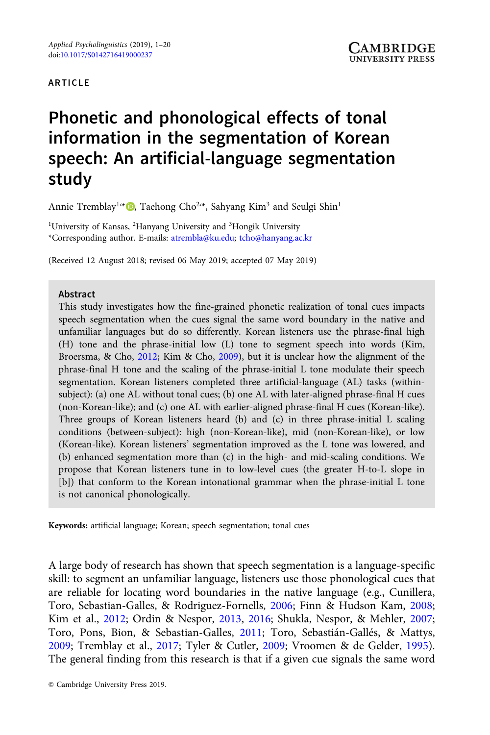## ARTICLE

# Phonetic and phonological effects of tonal information in the segmentation of Korean speech: An artificial-language segmentation study

Annie Tremblay<sup>1,\*</sup><sup>1</sup>, Taehong Cho<sup>2,\*</sup>, Sahyang Kim<sup>3</sup> and Seulgi Shin<sup>1</sup>

<sup>1</sup>University of Kansas, <sup>2</sup>Hanyang University and <sup>3</sup>Hongik University \*Corresponding author. E-mails: [atrembla@ku.edu;](mailto:atrembla@ku.edu) [tcho@hanyang.ac.kr](mailto:tcho@hanyang.ac.kr)

(Received 12 August 2018; revised 06 May 2019; accepted 07 May 2019)

#### Abstract

This study investigates how the fine-grained phonetic realization of tonal cues impacts speech segmentation when the cues signal the same word boundary in the native and unfamiliar languages but do so differently. Korean listeners use the phrase-final high (H) tone and the phrase-initial low (L) tone to segment speech into words (Kim, Broersma, & Cho, [2012](#page-18-0); Kim & Cho, [2009](#page-18-0)), but it is unclear how the alignment of the phrase-final H tone and the scaling of the phrase-initial L tone modulate their speech segmentation. Korean listeners completed three artificial-language (AL) tasks (withinsubject): (a) one AL without tonal cues; (b) one AL with later-aligned phrase-final H cues (non-Korean-like); and (c) one AL with earlier-aligned phrase-final H cues (Korean-like). Three groups of Korean listeners heard (b) and (c) in three phrase-initial L scaling conditions (between-subject): high (non-Korean-like), mid (non-Korean-like), or low (Korean-like). Korean listeners' segmentation improved as the L tone was lowered, and (b) enhanced segmentation more than (c) in the high- and mid-scaling conditions. We propose that Korean listeners tune in to low-level cues (the greater H-to-L slope in [b]) that conform to the Korean intonational grammar when the phrase-initial L tone is not canonical phonologically.

Keywords: artificial language; Korean; speech segmentation; tonal cues

A large body of research has shown that speech segmentation is a language-specific skill: to segment an unfamiliar language, listeners use those phonological cues that are reliable for locating word boundaries in the native language (e.g., Cunillera, Toro, Sebastian-Galles, & Rodriguez-Fornells, [2006](#page-18-0); Finn & Hudson Kam, [2008](#page-18-0); Kim et al., [2012;](#page-18-0) Ordin & Nespor, [2013](#page-18-0), [2016](#page-18-0); Shukla, Nespor, & Mehler, [2007](#page-18-0); Toro, Pons, Bion, & Sebastian-Galles, [2011;](#page-19-0) Toro, Sebastián-Gallés, & Mattys, [2009](#page-19-0); Tremblay et al., [2017](#page-19-0); Tyler & Cutler, [2009;](#page-19-0) Vroomen & de Gelder, [1995\)](#page-19-0). The general finding from this research is that if a given cue signals the same word

© Cambridge University Press 2019.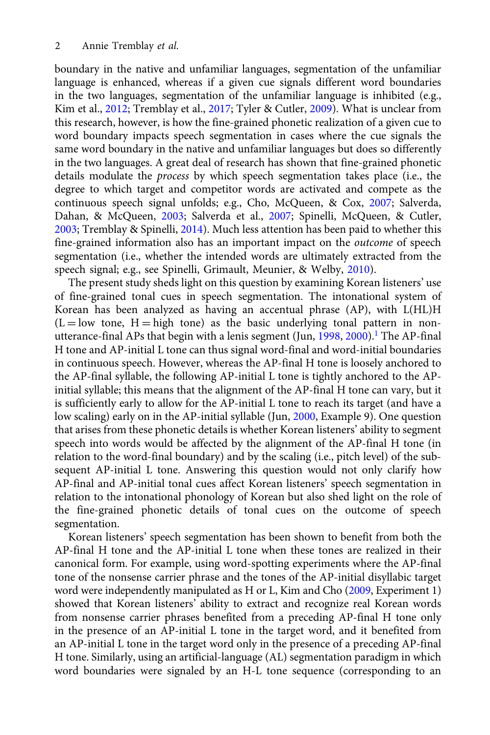boundary in the native and unfamiliar languages, segmentation of the unfamiliar language is enhanced, whereas if a given cue signals different word boundaries in the two languages, segmentation of the unfamiliar language is inhibited (e.g., Kim et al., [2012](#page-18-0); Tremblay et al., [2017;](#page-19-0) Tyler & Cutler, [2009](#page-19-0)). What is unclear from this research, however, is how the fine-grained phonetic realization of a given cue to word boundary impacts speech segmentation in cases where the cue signals the same word boundary in the native and unfamiliar languages but does so differently in the two languages. A great deal of research has shown that fine-grained phonetic details modulate the process by which speech segmentation takes place (i.e., the degree to which target and competitor words are activated and compete as the continuous speech signal unfolds; e.g., Cho, McQueen, & Cox, [2007](#page-18-0); Salverda, Dahan, & McQueen, [2003;](#page-18-0) Salverda et al., [2007](#page-18-0); Spinelli, McQueen, & Cutler, [2003;](#page-19-0) Tremblay & Spinelli, [2014](#page-19-0)). Much less attention has been paid to whether this fine-grained information also has an important impact on the outcome of speech segmentation (i.e., whether the intended words are ultimately extracted from the speech signal; e.g., see Spinelli, Grimault, Meunier, & Welby, [2010](#page-18-0)).

The present study sheds light on this question by examining Korean listeners' use of fine-grained tonal cues in speech segmentation. The intonational system of Korean has been analyzed as having an accentual phrase (AP), with L(HL)H  $(L = low$  tone,  $H = high$  tone) as the basic underlying tonal pattern in nonutterance-final APs that begin with a lenis segment (Jun,  $1998, 2000$  $1998, 2000$  $1998, 2000$ ).<sup>[1](#page-17-0)</sup> The AP-final H tone and AP-initial L tone can thus signal word-final and word-initial boundaries in continuous speech. However, whereas the AP-final H tone is loosely anchored to the AP-final syllable, the following AP-initial L tone is tightly anchored to the APinitial syllable; this means that the alignment of the AP-final H tone can vary, but it is sufficiently early to allow for the AP-initial L tone to reach its target (and have a low scaling) early on in the AP-initial syllable (Jun, [2000](#page-18-0), Example 9). One question that arises from these phonetic details is whether Korean listeners' ability to segment speech into words would be affected by the alignment of the AP-final H tone (in relation to the word-final boundary) and by the scaling (i.e., pitch level) of the subsequent AP-initial L tone. Answering this question would not only clarify how AP-final and AP-initial tonal cues affect Korean listeners' speech segmentation in relation to the intonational phonology of Korean but also shed light on the role of the fine-grained phonetic details of tonal cues on the outcome of speech segmentation.

Korean listeners' speech segmentation has been shown to benefit from both the AP-final H tone and the AP-initial L tone when these tones are realized in their canonical form. For example, using word-spotting experiments where the AP-final tone of the nonsense carrier phrase and the tones of the AP-initial disyllabic target word were independently manipulated as H or L, Kim and Cho ([2009,](#page-18-0) Experiment 1) showed that Korean listeners' ability to extract and recognize real Korean words from nonsense carrier phrases benefited from a preceding AP-final H tone only in the presence of an AP-initial L tone in the target word, and it benefited from an AP-initial L tone in the target word only in the presence of a preceding AP-final H tone. Similarly, using an artificial-language (AL) segmentation paradigm in which word boundaries were signaled by an H-L tone sequence (corresponding to an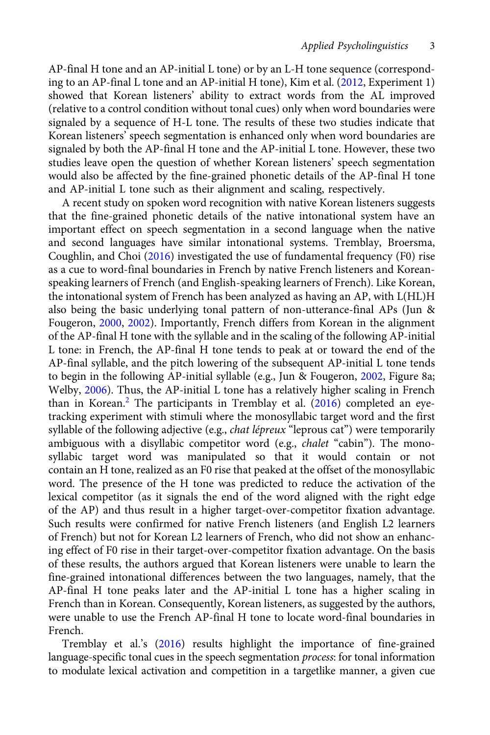AP-final H tone and an AP-initial L tone) or by an L-H tone sequence (corresponding to an AP-final L tone and an AP-initial H tone), Kim et al. ([2012](#page-18-0), Experiment 1) showed that Korean listeners' ability to extract words from the AL improved (relative to a control condition without tonal cues) only when word boundaries were signaled by a sequence of H-L tone. The results of these two studies indicate that Korean listeners' speech segmentation is enhanced only when word boundaries are signaled by both the AP-final H tone and the AP-initial L tone. However, these two studies leave open the question of whether Korean listeners' speech segmentation would also be affected by the fine-grained phonetic details of the AP-final H tone and AP-initial L tone such as their alignment and scaling, respectively.

A recent study on spoken word recognition with native Korean listeners suggests that the fine-grained phonetic details of the native intonational system have an important effect on speech segmentation in a second language when the native and second languages have similar intonational systems. Tremblay, Broersma, Coughlin, and Choi [\(2016\)](#page-19-0) investigated the use of fundamental frequency (F0) rise as a cue to word-final boundaries in French by native French listeners and Koreanspeaking learners of French (and English-speaking learners of French). Like Korean, the intonational system of French has been analyzed as having an AP, with L(HL)H also being the basic underlying tonal pattern of non-utterance-final APs (Jun & Fougeron, [2000,](#page-18-0) [2002](#page-18-0)). Importantly, French differs from Korean in the alignment of the AP-final H tone with the syllable and in the scaling of the following AP-initial L tone: in French, the AP-final H tone tends to peak at or toward the end of the AP-final syllable, and the pitch lowering of the subsequent AP-initial L tone tends to begin in the following AP-initial syllable (e.g., Jun & Fougeron, [2002,](#page-18-0) Figure 8a; Welby, [2006](#page-19-0)). Thus, the AP-initial L tone has a relatively higher scaling in French than in Korean.<sup>[2](#page-17-0)</sup> The participants in Tremblay et al.  $(2016)$  $(2016)$  $(2016)$  completed an eyetracking experiment with stimuli where the monosyllabic target word and the first syllable of the following adjective (e.g., chat lépreux "leprous cat") were temporarily ambiguous with a disyllabic competitor word (e.g., chalet "cabin"). The monosyllabic target word was manipulated so that it would contain or not contain an H tone, realized as an F0 rise that peaked at the offset of the monosyllabic word. The presence of the H tone was predicted to reduce the activation of the lexical competitor (as it signals the end of the word aligned with the right edge of the AP) and thus result in a higher target-over-competitor fixation advantage. Such results were confirmed for native French listeners (and English L2 learners of French) but not for Korean L2 learners of French, who did not show an enhancing effect of F0 rise in their target-over-competitor fixation advantage. On the basis of these results, the authors argued that Korean listeners were unable to learn the fine-grained intonational differences between the two languages, namely, that the AP-final H tone peaks later and the AP-initial L tone has a higher scaling in French than in Korean. Consequently, Korean listeners, as suggested by the authors, were unable to use the French AP-final H tone to locate word-final boundaries in French.

Tremblay et al.'s ([2016](#page-19-0)) results highlight the importance of fine-grained language-specific tonal cues in the speech segmentation process: for tonal information to modulate lexical activation and competition in a targetlike manner, a given cue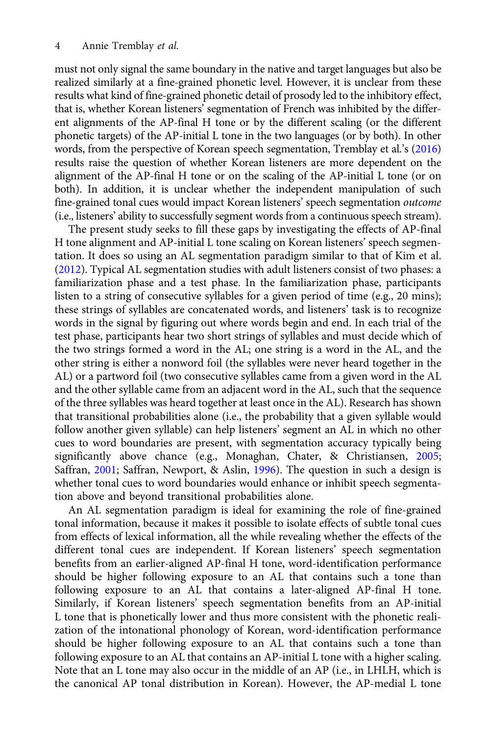must not only signal the same boundary in the native and target languages but also be realized similarly at a fine-grained phonetic level. However, it is unclear from these results what kind of fine-grained phonetic detail of prosody led to the inhibitory effect, that is, whether Korean listeners' segmentation of French was inhibited by the different alignments of the AP-final H tone or by the different scaling (or the different phonetic targets) of the AP-initial L tone in the two languages (or by both). In other words, from the perspective of Korean speech segmentation, Tremblay et al.'s [\(2016](#page-19-0)) results raise the question of whether Korean listeners are more dependent on the alignment of the AP-final H tone or on the scaling of the AP-initial L tone (or on both). In addition, it is unclear whether the independent manipulation of such fine-grained tonal cues would impact Korean listeners' speech segmentation outcome (i.e., listeners' ability to successfully segment words from a continuous speech stream).

The present study seeks to fill these gaps by investigating the effects of AP-final H tone alignment and AP-initial L tone scaling on Korean listeners' speech segmentation. It does so using an AL segmentation paradigm similar to that of Kim et al. ([2012](#page-18-0)). Typical AL segmentation studies with adult listeners consist of two phases: a familiarization phase and a test phase. In the familiarization phase, participants listen to a string of consecutive syllables for a given period of time (e.g., 20 mins); these strings of syllables are concatenated words, and listeners' task is to recognize words in the signal by figuring out where words begin and end. In each trial of the test phase, participants hear two short strings of syllables and must decide which of the two strings formed a word in the AL; one string is a word in the AL, and the other string is either a nonword foil (the syllables were never heard together in the AL) or a partword foil (two consecutive syllables came from a given word in the AL and the other syllable came from an adjacent word in the AL, such that the sequence of the three syllables was heard together at least once in the AL). Research has shown that transitional probabilities alone (i.e., the probability that a given syllable would follow another given syllable) can help listeners' segment an AL in which no other cues to word boundaries are present, with segmentation accuracy typically being significantly above chance (e.g., Monaghan, Chater, & Christiansen, [2005;](#page-18-0) Saffran, [2001](#page-18-0); Saffran, Newport, & Aslin, [1996\)](#page-18-0). The question in such a design is whether tonal cues to word boundaries would enhance or inhibit speech segmentation above and beyond transitional probabilities alone.

An AL segmentation paradigm is ideal for examining the role of fine-grained tonal information, because it makes it possible to isolate effects of subtle tonal cues from effects of lexical information, all the while revealing whether the effects of the different tonal cues are independent. If Korean listeners' speech segmentation benefits from an earlier-aligned AP-final H tone, word-identification performance should be higher following exposure to an AL that contains such a tone than following exposure to an AL that contains a later-aligned AP-final H tone. Similarly, if Korean listeners' speech segmentation benefits from an AP-initial L tone that is phonetically lower and thus more consistent with the phonetic realization of the intonational phonology of Korean, word-identification performance should be higher following exposure to an AL that contains such a tone than following exposure to an AL that contains an AP-initial L tone with a higher scaling. Note that an L tone may also occur in the middle of an AP (i.e., in LHLH, which is the canonical AP tonal distribution in Korean). However, the AP-medial L tone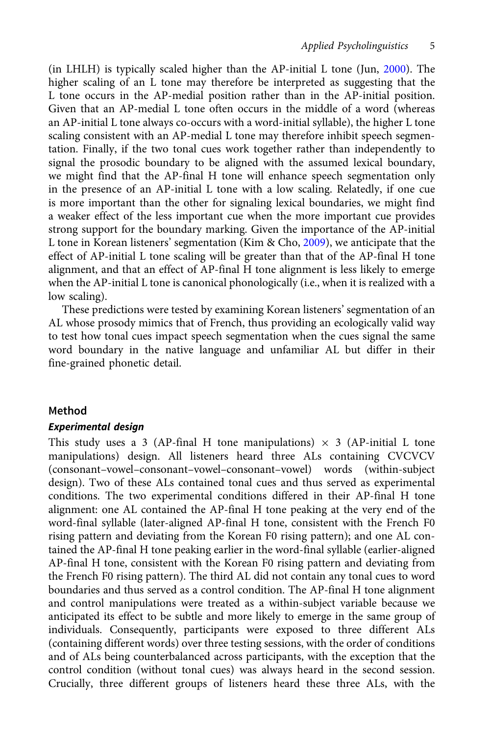(in LHLH) is typically scaled higher than the AP-initial L tone (Jun, [2000\)](#page-18-0). The higher scaling of an L tone may therefore be interpreted as suggesting that the L tone occurs in the AP-medial position rather than in the AP-initial position. Given that an AP-medial L tone often occurs in the middle of a word (whereas an AP-initial L tone always co-occurs with a word-initial syllable), the higher L tone scaling consistent with an AP-medial L tone may therefore inhibit speech segmentation. Finally, if the two tonal cues work together rather than independently to signal the prosodic boundary to be aligned with the assumed lexical boundary, we might find that the AP-final H tone will enhance speech segmentation only in the presence of an AP-initial L tone with a low scaling. Relatedly, if one cue is more important than the other for signaling lexical boundaries, we might find a weaker effect of the less important cue when the more important cue provides strong support for the boundary marking. Given the importance of the AP-initial L tone in Korean listeners' segmentation (Kim & Cho, [2009](#page-18-0)), we anticipate that the effect of AP-initial L tone scaling will be greater than that of the AP-final H tone alignment, and that an effect of AP-final H tone alignment is less likely to emerge when the AP-initial L tone is canonical phonologically (i.e., when it is realized with a low scaling).

These predictions were tested by examining Korean listeners' segmentation of an AL whose prosody mimics that of French, thus providing an ecologically valid way to test how tonal cues impact speech segmentation when the cues signal the same word boundary in the native language and unfamiliar AL but differ in their fine-grained phonetic detail.

## Method

### Experimental design

This study uses a 3 (AP-final H tone manipulations)  $\times$  3 (AP-initial L tone manipulations) design. All listeners heard three ALs containing CVCVCV (consonant–vowel–consonant–vowel–consonant–vowel) words (within-subject design). Two of these ALs contained tonal cues and thus served as experimental conditions. The two experimental conditions differed in their AP-final H tone alignment: one AL contained the AP-final H tone peaking at the very end of the word-final syllable (later-aligned AP-final H tone, consistent with the French F0 rising pattern and deviating from the Korean F0 rising pattern); and one AL contained the AP-final H tone peaking earlier in the word-final syllable (earlier-aligned AP-final H tone, consistent with the Korean F0 rising pattern and deviating from the French F0 rising pattern). The third AL did not contain any tonal cues to word boundaries and thus served as a control condition. The AP-final H tone alignment and control manipulations were treated as a within-subject variable because we anticipated its effect to be subtle and more likely to emerge in the same group of individuals. Consequently, participants were exposed to three different ALs (containing different words) over three testing sessions, with the order of conditions and of ALs being counterbalanced across participants, with the exception that the control condition (without tonal cues) was always heard in the second session. Crucially, three different groups of listeners heard these three ALs, with the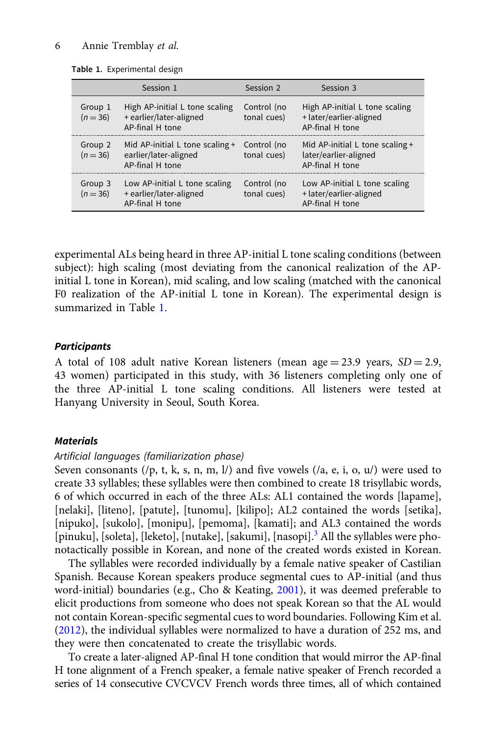|                     | Session 1                                                                    | Session 2                  | Session 3                                                                    |
|---------------------|------------------------------------------------------------------------------|----------------------------|------------------------------------------------------------------------------|
| Group 1<br>$(n=36)$ | High AP-initial L tone scaling<br>+ earlier/later-aligned<br>AP-final H tone | Control (no<br>tonal cues) | High AP-initial L tone scaling<br>+ later/earlier-aligned<br>AP-final H tone |
| Group 2<br>$(n=36)$ | Mid AP-initial L tone scaling +<br>earlier/later-aligned<br>AP-final H tone  | Control (no<br>tonal cues) | Mid AP-initial L tone scaling +<br>later/earlier-aligned<br>AP-final H tone  |
| Group 3<br>$(n=36)$ | Low AP-initial L tone scaling<br>+ earlier/later-aligned<br>AP-final H tone  | Control (no<br>tonal cues) | Low AP-initial L tone scaling<br>+ later/earlier-aligned<br>AP-final H tone  |

<span id="page-5-0"></span>Table 1. Experimental design

experimental ALs being heard in three AP-initial L tone scaling conditions (between subject): high scaling (most deviating from the canonical realization of the APinitial L tone in Korean), mid scaling, and low scaling (matched with the canonical F0 realization of the AP-initial L tone in Korean). The experimental design is summarized in Table 1.

### **Participants**

A total of 108 adult native Korean listeners (mean age = 23.9 years,  $SD = 2.9$ , 43 women) participated in this study, with 36 listeners completing only one of the three AP-initial L tone scaling conditions. All listeners were tested at Hanyang University in Seoul, South Korea.

#### **Materials**

## Artificial languages (familiarization phase)

Seven consonants (/p, t, k, s, n, m, l/) and five vowels (/a, e, i, o, u/) were used to create 33 syllables; these syllables were then combined to create 18 trisyllabic words, 6 of which occurred in each of the three ALs: AL1 contained the words [lapame], [nelaki], [liteno], [patute], [tunomu], [kilipo]; AL2 contained the words [setika], [nipuko], [sukolo], [monipu], [pemoma], [kamati]; and AL3 contained the words [pinuku], [soleta], [leketo], [nutake], [sakumi], [nasopi].<sup>[3](#page-17-0)</sup> All the syllables were phonotactically possible in Korean, and none of the created words existed in Korean.

The syllables were recorded individually by a female native speaker of Castilian Spanish. Because Korean speakers produce segmental cues to AP-initial (and thus word-initial) boundaries (e.g., Cho & Keating, [2001](#page-17-0)), it was deemed preferable to elicit productions from someone who does not speak Korean so that the AL would not contain Korean-specific segmental cues to word boundaries. Following Kim et al. ([2012](#page-18-0)), the individual syllables were normalized to have a duration of 252 ms, and they were then concatenated to create the trisyllabic words.

To create a later-aligned AP-final H tone condition that would mirror the AP-final H tone alignment of a French speaker, a female native speaker of French recorded a series of 14 consecutive CVCVCV French words three times, all of which contained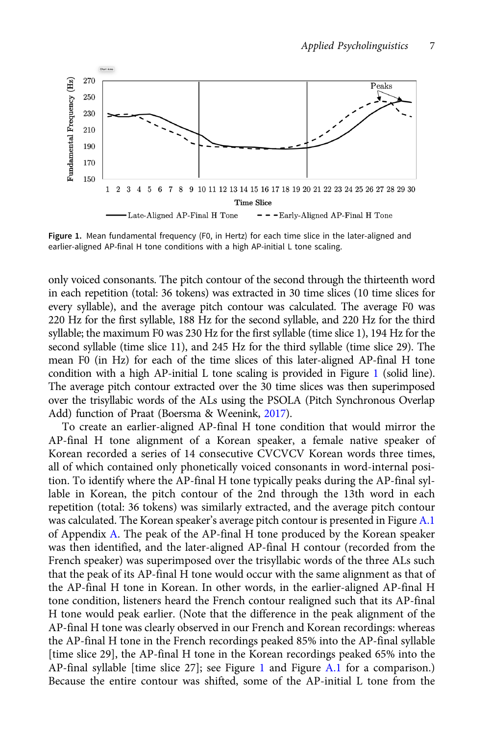<span id="page-6-0"></span>

Figure 1. Mean fundamental frequency (F0, in Hertz) for each time slice in the later-aligned and earlier-aligned AP-final H tone conditions with a high AP-initial L tone scaling.

only voiced consonants. The pitch contour of the second through the thirteenth word in each repetition (total: 36 tokens) was extracted in 30 time slices (10 time slices for every syllable), and the average pitch contour was calculated. The average F0 was 220 Hz for the first syllable, 188 Hz for the second syllable, and 220 Hz for the third syllable; the maximum F0 was 230 Hz for the first syllable (time slice 1), 194 Hz for the second syllable (time slice 11), and 245 Hz for the third syllable (time slice 29). The mean F0 (in Hz) for each of the time slices of this later-aligned AP-final H tone condition with a high AP-initial L tone scaling is provided in Figure 1 (solid line). The average pitch contour extracted over the 30 time slices was then superimposed over the trisyllabic words of the ALs using the PSOLA (Pitch Synchronous Overlap Add) function of Praat (Boersma & Weenink, [2017](#page-17-0)).

To create an earlier-aligned AP-final H tone condition that would mirror the AP-final H tone alignment of a Korean speaker, a female native speaker of Korean recorded a series of 14 consecutive CVCVCV Korean words three times, all of which contained only phonetically voiced consonants in word-internal position. To identify where the AP-final H tone typically peaks during the AP-final syllable in Korean, the pitch contour of the 2nd through the 13th word in each repetition (total: 36 tokens) was similarly extracted, and the average pitch contour was calculated. The Korean speaker's average pitch contour is presented in Figure [A.1](#page-19-0) of Appendix [A](#page-19-0). The peak of the AP-final H tone produced by the Korean speaker was then identified, and the later-aligned AP-final H contour (recorded from the French speaker) was superimposed over the trisyllabic words of the three ALs such that the peak of its AP-final H tone would occur with the same alignment as that of the AP-final H tone in Korean. In other words, in the earlier-aligned AP-final H tone condition, listeners heard the French contour realigned such that its AP-final H tone would peak earlier. (Note that the difference in the peak alignment of the AP-final H tone was clearly observed in our French and Korean recordings: whereas the AP-final H tone in the French recordings peaked 85% into the AP-final syllable [time slice 29], the AP-final H tone in the Korean recordings peaked 65% into the AP-final syllable [time slice 27]; see Figure 1 and Figure [A.1](#page-19-0) for a comparison.) Because the entire contour was shifted, some of the AP-initial L tone from the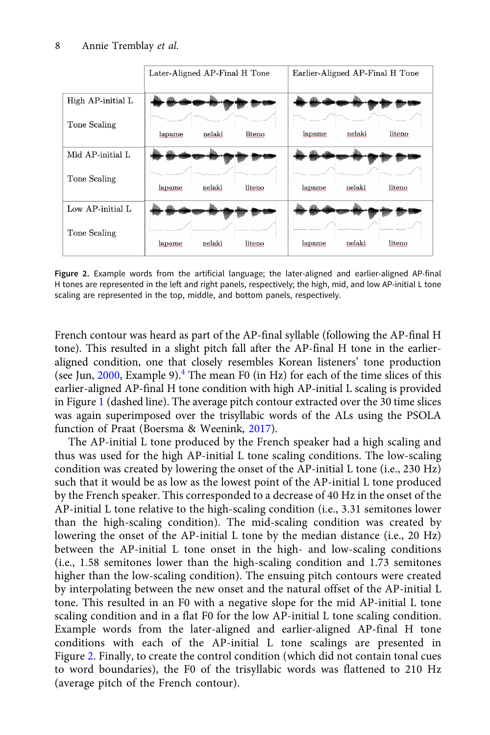

Figure 2. Example words from the artificial language; the later-aligned and earlier-aligned AP-final H tones are represented in the left and right panels, respectively; the high, mid, and low AP-initial L tone scaling are represented in the top, middle, and bottom panels, respectively.

French contour was heard as part of the AP-final syllable (following the AP-final H tone). This resulted in a slight pitch fall after the AP-final H tone in the earlieraligned condition, one that closely resembles Korean listeners' tone production (see Jun,  $2000$ , Example 9).<sup>[4](#page-17-0)</sup> The mean F0 (in Hz) for each of the time slices of this earlier-aligned AP-final H tone condition with high AP-initial L scaling is provided in Figure [1](#page-6-0) (dashed line). The average pitch contour extracted over the 30 time slices was again superimposed over the trisyllabic words of the ALs using the PSOLA function of Praat (Boersma & Weenink, [2017](#page-17-0)).

The AP-initial L tone produced by the French speaker had a high scaling and thus was used for the high AP-initial L tone scaling conditions. The low-scaling condition was created by lowering the onset of the AP-initial L tone (i.e., 230 Hz) such that it would be as low as the lowest point of the AP-initial L tone produced by the French speaker. This corresponded to a decrease of 40 Hz in the onset of the AP-initial L tone relative to the high-scaling condition (i.e., 3.31 semitones lower than the high-scaling condition). The mid-scaling condition was created by lowering the onset of the AP-initial L tone by the median distance (i.e., 20 Hz) between the AP-initial L tone onset in the high- and low-scaling conditions (i.e., 1.58 semitones lower than the high-scaling condition and 1.73 semitones higher than the low-scaling condition). The ensuing pitch contours were created by interpolating between the new onset and the natural offset of the AP-initial L tone. This resulted in an F0 with a negative slope for the mid AP-initial L tone scaling condition and in a flat F0 for the low AP-initial L tone scaling condition. Example words from the later-aligned and earlier-aligned AP-final H tone conditions with each of the AP-initial L tone scalings are presented in Figure 2. Finally, to create the control condition (which did not contain tonal cues to word boundaries), the F0 of the trisyllabic words was flattened to 210 Hz (average pitch of the French contour).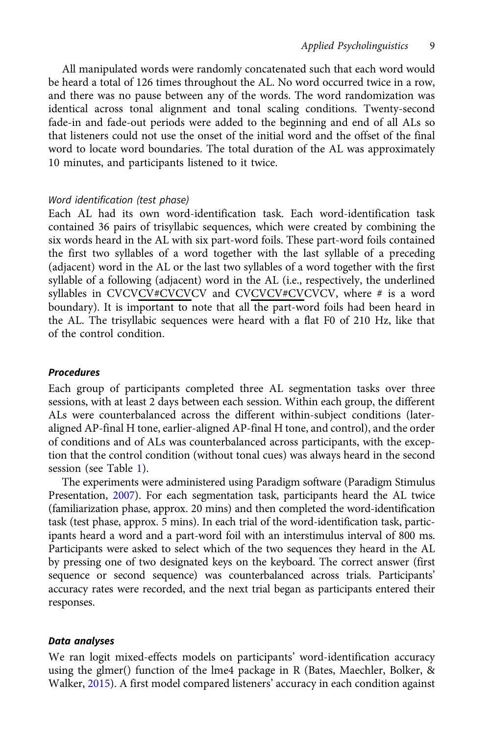All manipulated words were randomly concatenated such that each word would be heard a total of 126 times throughout the AL. No word occurred twice in a row, and there was no pause between any of the words. The word randomization was identical across tonal alignment and tonal scaling conditions. Twenty-second fade-in and fade-out periods were added to the beginning and end of all ALs so that listeners could not use the onset of the initial word and the offset of the final word to locate word boundaries. The total duration of the AL was approximately 10 minutes, and participants listened to it twice.

### Word identification (test phase)

Each AL had its own word-identification task. Each word-identification task contained 36 pairs of trisyllabic sequences, which were created by combining the six words heard in the AL with six part-word foils. These part-word foils contained the first two syllables of a word together with the last syllable of a preceding (adjacent) word in the AL or the last two syllables of a word together with the first syllable of a following (adjacent) word in the AL (i.e., respectively, the underlined syllables in CVCVCV#CVCVCV and CVCVCV#CVCVCV, where # is a word boundary). It is important to note that all the part-word foils had been heard in the AL. The trisyllabic sequences were heard with a flat F0 of 210 Hz, like that of the control condition.

## Procedures

Each group of participants completed three AL segmentation tasks over three sessions, with at least 2 days between each session. Within each group, the different ALs were counterbalanced across the different within-subject conditions (lateraligned AP-final H tone, earlier-aligned AP-final H tone, and control), and the order of conditions and of ALs was counterbalanced across participants, with the exception that the control condition (without tonal cues) was always heard in the second session (see Table [1](#page-5-0)).

The experiments were administered using Paradigm software (Paradigm Stimulus Presentation, [2007](#page-18-0)). For each segmentation task, participants heard the AL twice (familiarization phase, approx. 20 mins) and then completed the word-identification task (test phase, approx. 5 mins). In each trial of the word-identification task, participants heard a word and a part-word foil with an interstimulus interval of 800 ms. Participants were asked to select which of the two sequences they heard in the AL by pressing one of two designated keys on the keyboard. The correct answer (first sequence or second sequence) was counterbalanced across trials. Participants' accuracy rates were recorded, and the next trial began as participants entered their responses.

#### Data analyses

We ran logit mixed-effects models on participants' word-identification accuracy using the glmer() function of the lme4 package in R (Bates, Maechler, Bolker, & Walker, [2015\)](#page-17-0). A first model compared listeners' accuracy in each condition against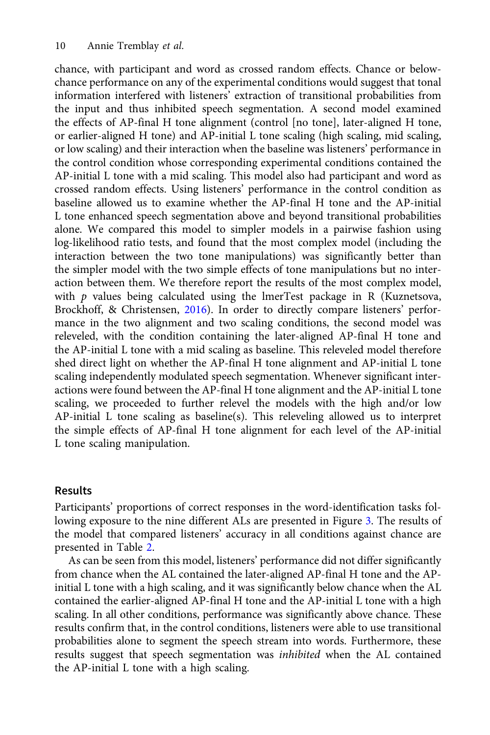chance, with participant and word as crossed random effects. Chance or belowchance performance on any of the experimental conditions would suggest that tonal information interfered with listeners' extraction of transitional probabilities from the input and thus inhibited speech segmentation. A second model examined the effects of AP-final H tone alignment (control [no tone], later-aligned H tone, or earlier-aligned H tone) and AP-initial L tone scaling (high scaling, mid scaling, or low scaling) and their interaction when the baseline was listeners' performance in the control condition whose corresponding experimental conditions contained the AP-initial L tone with a mid scaling. This model also had participant and word as crossed random effects. Using listeners' performance in the control condition as baseline allowed us to examine whether the AP-final H tone and the AP-initial L tone enhanced speech segmentation above and beyond transitional probabilities alone. We compared this model to simpler models in a pairwise fashion using log-likelihood ratio tests, and found that the most complex model (including the interaction between the two tone manipulations) was significantly better than the simpler model with the two simple effects of tone manipulations but no interaction between them. We therefore report the results of the most complex model, with  $p$  values being calculated using the lmerTest package in R (Kuznetsova, Brockhoff, & Christensen, [2016\)](#page-18-0). In order to directly compare listeners' performance in the two alignment and two scaling conditions, the second model was releveled, with the condition containing the later-aligned AP-final H tone and the AP-initial L tone with a mid scaling as baseline. This releveled model therefore shed direct light on whether the AP-final H tone alignment and AP-initial L tone scaling independently modulated speech segmentation. Whenever significant interactions were found between the AP-final H tone alignment and the AP-initial L tone scaling, we proceeded to further relevel the models with the high and/or low AP-initial L tone scaling as baseline(s). This releveling allowed us to interpret the simple effects of AP-final H tone alignment for each level of the AP-initial L tone scaling manipulation.

# Results

Participants' proportions of correct responses in the word-identification tasks following exposure to the nine different ALs are presented in Figure [3](#page-11-0). The results of the model that compared listeners' accuracy in all conditions against chance are presented in Table [2.](#page-10-0)

As can be seen from this model, listeners' performance did not differ significantly from chance when the AL contained the later-aligned AP-final H tone and the APinitial L tone with a high scaling, and it was significantly below chance when the AL contained the earlier-aligned AP-final H tone and the AP-initial L tone with a high scaling. In all other conditions, performance was significantly above chance. These results confirm that, in the control conditions, listeners were able to use transitional probabilities alone to segment the speech stream into words. Furthermore, these results suggest that speech segmentation was inhibited when the AL contained the AP-initial L tone with a high scaling.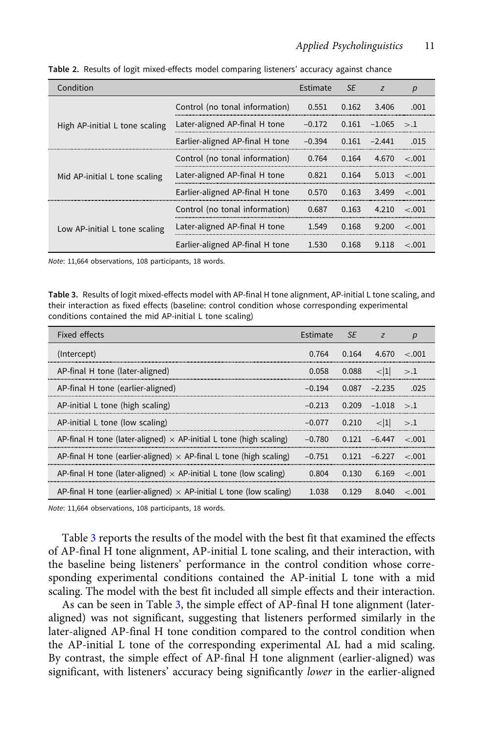| Condition                      |                                          | Estimate                       | -SE   | Z                   |            |
|--------------------------------|------------------------------------------|--------------------------------|-------|---------------------|------------|
|                                | Control (no tonal information)           | 0.551                          | 0.162 | 3.406               |            |
| High AP-initial L tone scaling | Later-aligned AP-final H tone            | $-0.172$ $0.161$ $-1.065$ $>1$ |       |                     |            |
|                                | Earlier-aligned AP-final H tone $-0.394$ |                                |       | $0.161 - 2.441$     | 015        |
|                                | Control (no tonal information)           | 0.764                          | 0.164 | 4.670               | $\leq 001$ |
| Mid AP-initial L tone scaling  | Later-aligned AP-final H tone            | 0.821                          |       | $0.164$ 5.013 < 001 |            |
|                                | Earlier-aligned AP-final H tone          | 0.570                          | 0.163 | 3.499               | $-001$     |
|                                | Control (no tonal information)           | 0.687                          | 0.163 | 4.210               |            |
| Low AP-initial L tone scaling  | Later-aligned AP-final H tone            | 1.549                          | 0.168 | 9.200               | $\sim$ 001 |
|                                | Earlier-aligned AP-final H tone          | 1.530                          |       | 0.168 9.118         | $~<$ 001   |

<span id="page-10-0"></span>Table 2. Results of logit mixed-effects model comparing listeners' accuracy against chance

Note: 11,664 observations, 108 participants, 18 words.

Table 3. Results of logit mixed-effects model with AP-final H tone alignment, AP-initial L tone scaling, and their interaction as fixed effects (baseline: control condition whose corresponding experimental conditions contained the mid AP-initial L tone scaling)

| Fixed effects                                                              | Estimate SE           |       | z                                |             |
|----------------------------------------------------------------------------|-----------------------|-------|----------------------------------|-------------|
| (Intercept)                                                                |                       |       | $0.764$ $0.164$ $4.670$ $< .001$ |             |
| AP-final H tone (later-aligned)                                            | 0.058 0.088           |       | < 1                              | >.1         |
| AP-final H tone (earlier-aligned)                                          | $-0.194$              |       | $0.087 - 2.235$                  | .025        |
| AP-initial L tone (high scaling)                                           |                       |       | $-0.213$ $0.209$ $-1.018$ $>1$   |             |
| AP-initial L tone (low scaling)                                            | $-0.077$ 0.210 $< 1 $ |       |                                  | >1          |
| AP-final H tone (later-aligned) $\times$ AP-initial L tone (high scaling)  | $-0.780$              |       | $0.121 -6.447 < 0.01$            |             |
| AP-final H tone (earlier-aligned) $\times$ AP-final L tone (high scaling)  | $-0.751$              |       | $0.121 - 6.227$                  | $\leq 0.01$ |
| AP-final H tone (later-aligned) $\times$ AP-initial L tone (low scaling)   | 0.804                 | 0.130 | 6.169                            | $\leq 001$  |
| AP-final H tone (earlier-aligned) $\times$ AP-initial L tone (low scaling) | 1.038                 | 0.129 | 8.040                            | $\leq 0.01$ |

Note: 11,664 observations, 108 participants, 18 words.

Table 3 reports the results of the model with the best fit that examined the effects of AP-final H tone alignment, AP-initial L tone scaling, and their interaction, with the baseline being listeners' performance in the control condition whose corresponding experimental conditions contained the AP-initial L tone with a mid scaling. The model with the best fit included all simple effects and their interaction.

As can be seen in Table 3, the simple effect of AP-final H tone alignment (lateraligned) was not significant, suggesting that listeners performed similarly in the later-aligned AP-final H tone condition compared to the control condition when the AP-initial L tone of the corresponding experimental AL had a mid scaling. By contrast, the simple effect of AP-final H tone alignment (earlier-aligned) was significant, with listeners' accuracy being significantly lower in the earlier-aligned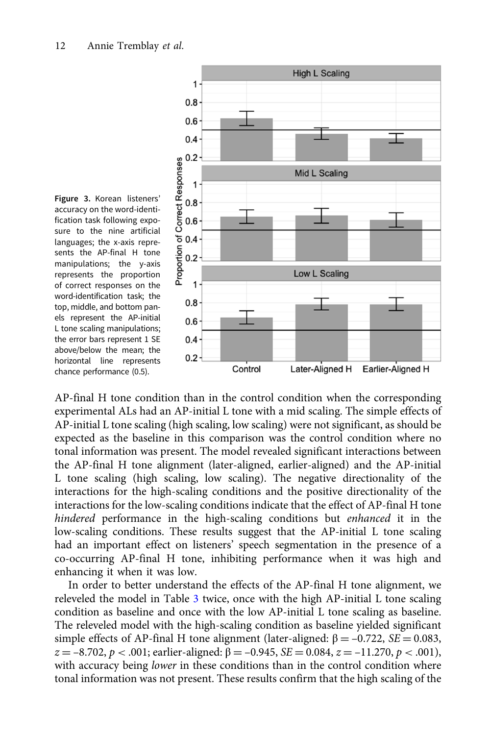<span id="page-11-0"></span>



AP-final H tone condition than in the control condition when the corresponding experimental ALs had an AP-initial L tone with a mid scaling. The simple effects of AP-initial L tone scaling (high scaling, low scaling) were not significant, as should be expected as the baseline in this comparison was the control condition where no tonal information was present. The model revealed significant interactions between the AP-final H tone alignment (later-aligned, earlier-aligned) and the AP-initial L tone scaling (high scaling, low scaling). The negative directionality of the interactions for the high-scaling conditions and the positive directionality of the interactions for the low-scaling conditions indicate that the effect of AP-final H tone hindered performance in the high-scaling conditions but enhanced it in the low-scaling conditions. These results suggest that the AP-initial L tone scaling had an important effect on listeners' speech segmentation in the presence of a co-occurring AP-final H tone, inhibiting performance when it was high and enhancing it when it was low.

In order to better understand the effects of the AP-final H tone alignment, we releveled the model in Table [3](#page-10-0) twice, once with the high AP-initial L tone scaling condition as baseline and once with the low AP-initial L tone scaling as baseline. The releveled model with the high-scaling condition as baseline yielded significant simple effects of AP-final H tone alignment (later-aligned:  $\beta = -0.722$ ,  $SE = 0.083$ ,  $z = -8.702$ ,  $p < .001$ ; earlier-aligned:  $\beta = -0.945$ ,  $SE = 0.084$ ,  $z = -11.270$ ,  $p < .001$ ), with accuracy being *lower* in these conditions than in the control condition where tonal information was not present. These results confirm that the high scaling of the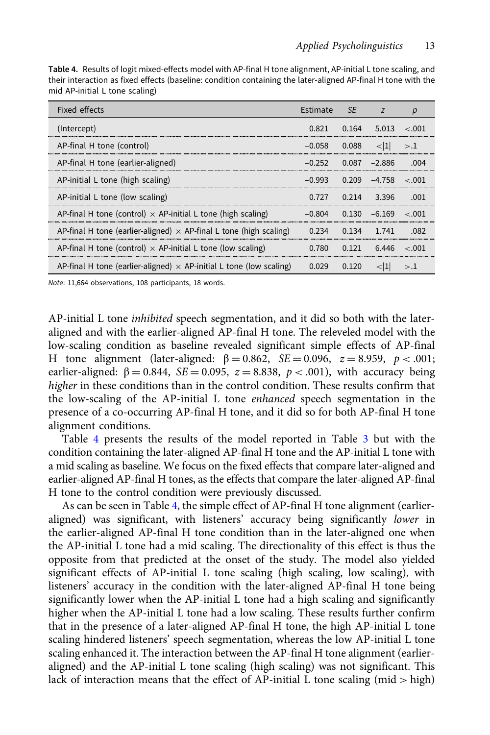| Fixed effects                                                              | Estimate SE               |       | z                                       |             |
|----------------------------------------------------------------------------|---------------------------|-------|-----------------------------------------|-------------|
| (Intercept)                                                                |                           |       | $0.821$ $0.164$ $5.013$ $< .001$        |             |
| AP-final H tone (control)                                                  | $-0.058$                  | 0.088 | $\vert$ $\vert$ $\vert$ $\vert$ $\vert$ | >1          |
| AP-final H tone (earlier-aligned)                                          | $-0.252$ $0.087$ $-2.886$ |       |                                         | . በበ4       |
| AP-initial L tone (high scaling)                                           |                           |       | $-0.993$ $0.209$ $-4.758$ $< 0.01$      |             |
| AP-initial L tone (low scaling)                                            |                           |       | 0.727 0.214 3.396                       | .001        |
| AP-final H tone (control) $\times$ AP-initial L tone (high scaling)        | $-0.804$                  |       | $0.130 - 6.169$                         | $\leq 0.01$ |
| AP-final H tone (earlier-aligned) $\times$ AP-final L tone (high scaling)  |                           |       | $0.234$ $0.134$ $1.741$                 | .082        |
| AP-final H tone (control) $\times$ AP-initial L tone (low scaling)         | 0.780                     |       | $0.121$ 6.446 < 001                     |             |
| AP-final H tone (earlier-aligned) $\times$ AP-initial L tone (low scaling) | 0.029                     | 0.120 |                                         | >.1         |

Table 4. Results of logit mixed-effects model with AP-final H tone alignment, AP-initial L tone scaling, and their interaction as fixed effects (baseline: condition containing the later-aligned AP-final H tone with the mid AP-initial L tone scaling)

Note: 11,664 observations, 108 participants, 18 words.

AP-initial L tone inhibited speech segmentation, and it did so both with the lateraligned and with the earlier-aligned AP-final H tone. The releveled model with the low-scaling condition as baseline revealed significant simple effects of AP-final H tone alignment (later-aligned:  $\beta = 0.862$ ,  $SE = 0.096$ ,  $z = 8.959$ ,  $p < .001$ ; earlier-aligned:  $\beta = 0.844$ ,  $SE = 0.095$ ,  $z = 8.838$ ,  $p < .001$ ), with accuracy being higher in these conditions than in the control condition. These results confirm that the low-scaling of the AP-initial L tone enhanced speech segmentation in the presence of a co-occurring AP-final H tone, and it did so for both AP-final H tone alignment conditions.

Table 4 presents the results of the model reported in Table [3](#page-10-0) but with the condition containing the later-aligned AP-final H tone and the AP-initial L tone with a mid scaling as baseline. We focus on the fixed effects that compare later-aligned and earlier-aligned AP-final H tones, as the effects that compare the later-aligned AP-final H tone to the control condition were previously discussed.

As can be seen in Table 4, the simple effect of AP-final H tone alignment (earlieraligned) was significant, with listeners' accuracy being significantly lower in the earlier-aligned AP-final H tone condition than in the later-aligned one when the AP-initial L tone had a mid scaling. The directionality of this effect is thus the opposite from that predicted at the onset of the study. The model also yielded significant effects of AP-initial L tone scaling (high scaling, low scaling), with listeners' accuracy in the condition with the later-aligned AP-final H tone being significantly lower when the AP-initial L tone had a high scaling and significantly higher when the AP-initial L tone had a low scaling. These results further confirm that in the presence of a later-aligned AP-final H tone, the high AP-initial L tone scaling hindered listeners' speech segmentation, whereas the low AP-initial L tone scaling enhanced it. The interaction between the AP-final H tone alignment (earlieraligned) and the AP-initial L tone scaling (high scaling) was not significant. This lack of interaction means that the effect of AP-initial L tone scaling ( $mid$ ) high)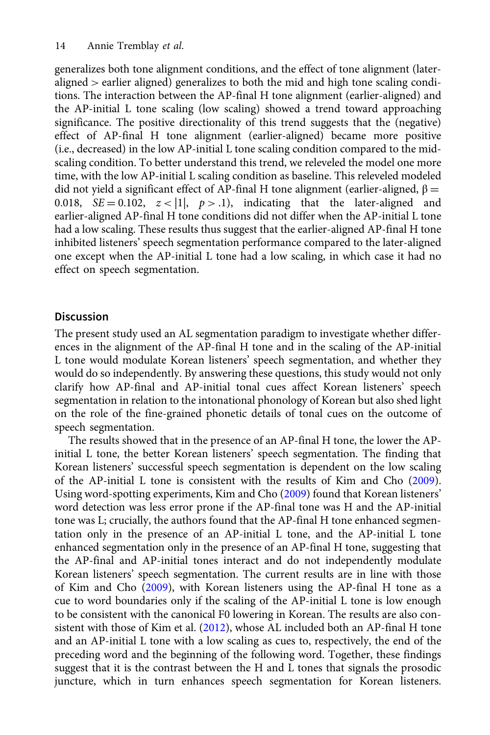generalizes both tone alignment conditions, and the effect of tone alignment (lateraligned > earlier aligned) generalizes to both the mid and high tone scaling conditions. The interaction between the AP-final H tone alignment (earlier-aligned) and the AP-initial L tone scaling (low scaling) showed a trend toward approaching significance. The positive directionality of this trend suggests that the (negative) effect of AP-final H tone alignment (earlier-aligned) became more positive (i.e., decreased) in the low AP-initial L tone scaling condition compared to the midscaling condition. To better understand this trend, we releveled the model one more time, with the low AP-initial L scaling condition as baseline. This releveled modeled did not yield a significant effect of AP-final H tone alignment (earlier-aligned,  $\beta$  = 0.018,  $SE = 0.102$ ,  $z < |1|$ ,  $p > .1$ ), indicating that the later-aligned and earlier-aligned AP-final H tone conditions did not differ when the AP-initial L tone had a low scaling. These results thus suggest that the earlier-aligned AP-final H tone inhibited listeners' speech segmentation performance compared to the later-aligned one except when the AP-initial L tone had a low scaling, in which case it had no effect on speech segmentation.

# Discussion

The present study used an AL segmentation paradigm to investigate whether differences in the alignment of the AP-final H tone and in the scaling of the AP-initial L tone would modulate Korean listeners' speech segmentation, and whether they would do so independently. By answering these questions, this study would not only clarify how AP-final and AP-initial tonal cues affect Korean listeners' speech segmentation in relation to the intonational phonology of Korean but also shed light on the role of the fine-grained phonetic details of tonal cues on the outcome of speech segmentation.

The results showed that in the presence of an AP-final H tone, the lower the APinitial L tone, the better Korean listeners' speech segmentation. The finding that Korean listeners' successful speech segmentation is dependent on the low scaling of the AP-initial L tone is consistent with the results of Kim and Cho ([2009](#page-18-0)). Using word-spotting experiments, Kim and Cho ([2009](#page-18-0)) found that Korean listeners' word detection was less error prone if the AP-final tone was H and the AP-initial tone was L; crucially, the authors found that the AP-final H tone enhanced segmentation only in the presence of an AP-initial L tone, and the AP-initial L tone enhanced segmentation only in the presence of an AP-final H tone, suggesting that the AP-final and AP-initial tones interact and do not independently modulate Korean listeners' speech segmentation. The current results are in line with those of Kim and Cho [\(2009\)](#page-18-0), with Korean listeners using the AP-final H tone as a cue to word boundaries only if the scaling of the AP-initial L tone is low enough to be consistent with the canonical F0 lowering in Korean. The results are also consistent with those of Kim et al. ([2012](#page-18-0)), whose AL included both an AP-final H tone and an AP-initial L tone with a low scaling as cues to, respectively, the end of the preceding word and the beginning of the following word. Together, these findings suggest that it is the contrast between the H and L tones that signals the prosodic juncture, which in turn enhances speech segmentation for Korean listeners.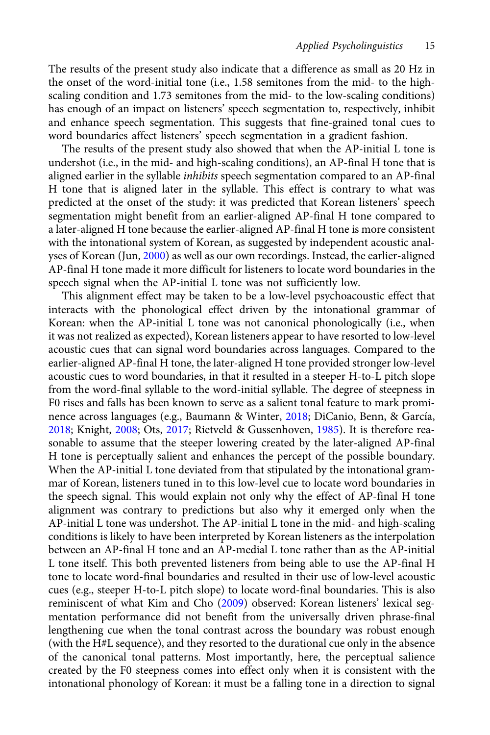The results of the present study also indicate that a difference as small as 20 Hz in the onset of the word-initial tone (i.e., 1.58 semitones from the mid- to the highscaling condition and 1.73 semitones from the mid- to the low-scaling conditions) has enough of an impact on listeners' speech segmentation to, respectively, inhibit and enhance speech segmentation. This suggests that fine-grained tonal cues to word boundaries affect listeners' speech segmentation in a gradient fashion.

The results of the present study also showed that when the AP-initial L tone is undershot (i.e., in the mid- and high-scaling conditions), an AP-final H tone that is aligned earlier in the syllable inhibits speech segmentation compared to an AP-final H tone that is aligned later in the syllable. This effect is contrary to what was predicted at the onset of the study: it was predicted that Korean listeners' speech segmentation might benefit from an earlier-aligned AP-final H tone compared to a later-aligned H tone because the earlier-aligned AP-final H tone is more consistent with the intonational system of Korean, as suggested by independent acoustic analyses of Korean (Jun, [2000](#page-18-0)) as well as our own recordings. Instead, the earlier-aligned AP-final H tone made it more difficult for listeners to locate word boundaries in the speech signal when the AP-initial L tone was not sufficiently low.

This alignment effect may be taken to be a low-level psychoacoustic effect that interacts with the phonological effect driven by the intonational grammar of Korean: when the AP-initial L tone was not canonical phonologically (i.e., when it was not realized as expected), Korean listeners appear to have resorted to low-level acoustic cues that can signal word boundaries across languages. Compared to the earlier-aligned AP-final H tone, the later-aligned H tone provided stronger low-level acoustic cues to word boundaries, in that it resulted in a steeper H-to-L pitch slope from the word-final syllable to the word-initial syllable. The degree of steepness in F0 rises and falls has been known to serve as a salient tonal feature to mark prominence across languages (e.g., Baumann & Winter, [2018;](#page-17-0) DiCanio, Benn, & García, [2018](#page-18-0); Knight, [2008;](#page-18-0) Ots, [2017;](#page-18-0) Rietveld & Gussenhoven, [1985](#page-18-0)). It is therefore reasonable to assume that the steeper lowering created by the later-aligned AP-final H tone is perceptually salient and enhances the percept of the possible boundary. When the AP-initial L tone deviated from that stipulated by the intonational grammar of Korean, listeners tuned in to this low-level cue to locate word boundaries in the speech signal. This would explain not only why the effect of AP-final H tone alignment was contrary to predictions but also why it emerged only when the AP-initial L tone was undershot. The AP-initial L tone in the mid- and high-scaling conditions is likely to have been interpreted by Korean listeners as the interpolation between an AP-final H tone and an AP-medial L tone rather than as the AP-initial L tone itself. This both prevented listeners from being able to use the AP-final H tone to locate word-final boundaries and resulted in their use of low-level acoustic cues (e.g., steeper H-to-L pitch slope) to locate word-final boundaries. This is also reminiscent of what Kim and Cho ([2009](#page-18-0)) observed: Korean listeners' lexical segmentation performance did not benefit from the universally driven phrase-final lengthening cue when the tonal contrast across the boundary was robust enough (with the H#L sequence), and they resorted to the durational cue only in the absence of the canonical tonal patterns. Most importantly, here, the perceptual salience created by the F0 steepness comes into effect only when it is consistent with the intonational phonology of Korean: it must be a falling tone in a direction to signal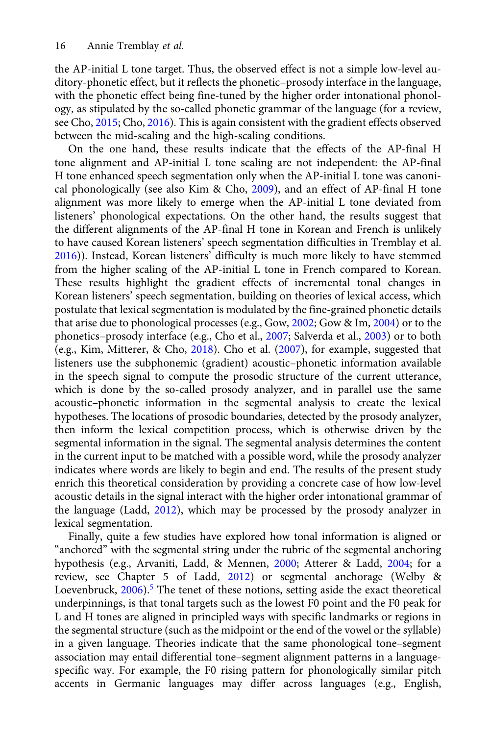the AP-initial L tone target. Thus, the observed effect is not a simple low-level auditory-phonetic effect, but it reflects the phonetic–prosody interface in the language, with the phonetic effect being fine-tuned by the higher order intonational phonology, as stipulated by the so-called phonetic grammar of the language (for a review, see Cho, [2015;](#page-17-0) Cho, [2016](#page-17-0)). This is again consistent with the gradient effects observed between the mid-scaling and the high-scaling conditions.

On the one hand, these results indicate that the effects of the AP-final H tone alignment and AP-initial L tone scaling are not independent: the AP-final H tone enhanced speech segmentation only when the AP-initial L tone was canonical phonologically (see also Kim & Cho, [2009\)](#page-18-0), and an effect of AP-final H tone alignment was more likely to emerge when the AP-initial L tone deviated from listeners' phonological expectations. On the other hand, the results suggest that the different alignments of the AP-final H tone in Korean and French is unlikely to have caused Korean listeners' speech segmentation difficulties in Tremblay et al. [2016\)](#page-19-0)). Instead, Korean listeners' difficulty is much more likely to have stemmed from the higher scaling of the AP-initial L tone in French compared to Korean. These results highlight the gradient effects of incremental tonal changes in Korean listeners' speech segmentation, building on theories of lexical access, which postulate that lexical segmentation is modulated by the fine-grained phonetic details that arise due to phonological processes (e.g., Gow, [2002](#page-18-0); Gow & Im, [2004\)](#page-18-0) or to the phonetics–prosody interface (e.g., Cho et al., [2007](#page-18-0); Salverda et al., [2003](#page-18-0)) or to both (e.g., Kim, Mitterer, & Cho, [2018\)](#page-18-0). Cho et al. ([2007\)](#page-18-0), for example, suggested that listeners use the subphonemic (gradient) acoustic–phonetic information available in the speech signal to compute the prosodic structure of the current utterance, which is done by the so-called prosody analyzer, and in parallel use the same acoustic–phonetic information in the segmental analysis to create the lexical hypotheses. The locations of prosodic boundaries, detected by the prosody analyzer, then inform the lexical competition process, which is otherwise driven by the segmental information in the signal. The segmental analysis determines the content in the current input to be matched with a possible word, while the prosody analyzer indicates where words are likely to begin and end. The results of the present study enrich this theoretical consideration by providing a concrete case of how low-level acoustic details in the signal interact with the higher order intonational grammar of the language (Ladd, [2012](#page-18-0)), which may be processed by the prosody analyzer in lexical segmentation.

Finally, quite a few studies have explored how tonal information is aligned or "anchored" with the segmental string under the rubric of the segmental anchoring hypothesis (e.g., Arvaniti, Ladd, & Mennen, [2000;](#page-17-0) Atterer & Ladd, [2004](#page-17-0); for a review, see Chapter 5 of Ladd, [2012\)](#page-18-0) or segmental anchorage (Welby & Loevenbruck,  $2006$ ).<sup>[5](#page-17-0)</sup> The tenet of these notions, setting aside the exact theoretical underpinnings, is that tonal targets such as the lowest F0 point and the F0 peak for L and H tones are aligned in principled ways with specific landmarks or regions in the segmental structure (such as the midpoint or the end of the vowel or the syllable) in a given language. Theories indicate that the same phonological tone–segment association may entail differential tone–segment alignment patterns in a languagespecific way. For example, the F0 rising pattern for phonologically similar pitch accents in Germanic languages may differ across languages (e.g., English,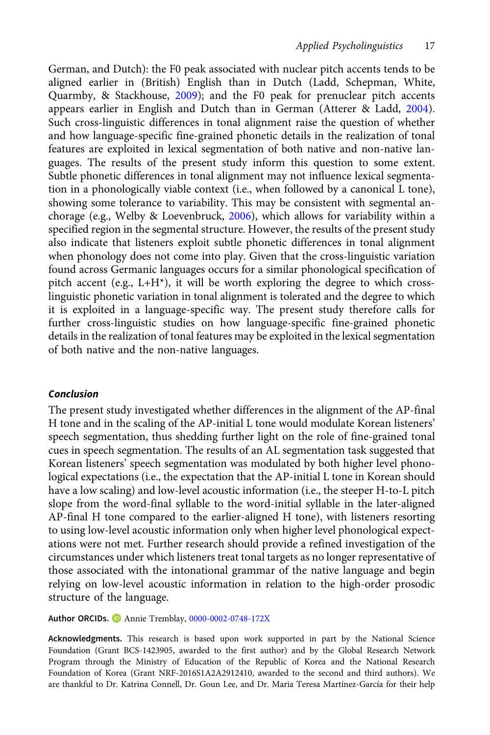German, and Dutch): the F0 peak associated with nuclear pitch accents tends to be aligned earlier in (British) English than in Dutch (Ladd, Schepman, White, Quarmby, & Stackhouse, [2009\)](#page-18-0); and the F0 peak for prenuclear pitch accents appears earlier in English and Dutch than in German (Atterer & Ladd, [2004\)](#page-17-0). Such cross-linguistic differences in tonal alignment raise the question of whether and how language-specific fine-grained phonetic details in the realization of tonal features are exploited in lexical segmentation of both native and non-native languages. The results of the present study inform this question to some extent. Subtle phonetic differences in tonal alignment may not influence lexical segmentation in a phonologically viable context (i.e., when followed by a canonical L tone), showing some tolerance to variability. This may be consistent with segmental anchorage (e.g., Welby & Loevenbruck, [2006\)](#page-19-0), which allows for variability within a specified region in the segmental structure. However, the results of the present study also indicate that listeners exploit subtle phonetic differences in tonal alignment when phonology does not come into play. Given that the cross-linguistic variation found across Germanic languages occurs for a similar phonological specification of pitch accent (e.g.,  $L+H^*$ ), it will be worth exploring the degree to which crosslinguistic phonetic variation in tonal alignment is tolerated and the degree to which it is exploited in a language-specific way. The present study therefore calls for further cross-linguistic studies on how language-specific fine-grained phonetic details in the realization of tonal features may be exploited in the lexical segmentation of both native and the non-native languages.

#### Conclusion

The present study investigated whether differences in the alignment of the AP-final H tone and in the scaling of the AP-initial L tone would modulate Korean listeners' speech segmentation, thus shedding further light on the role of fine-grained tonal cues in speech segmentation. The results of an AL segmentation task suggested that Korean listeners' speech segmentation was modulated by both higher level phonological expectations (i.e., the expectation that the AP-initial L tone in Korean should have a low scaling) and low-level acoustic information (i.e., the steeper H-to-L pitch slope from the word-final syllable to the word-initial syllable in the later-aligned AP-final H tone compared to the earlier-aligned H tone), with listeners resorting to using low-level acoustic information only when higher level phonological expectations were not met. Further research should provide a refined investigation of the circumstances under which listeners treat tonal targets as no longer representative of those associated with the intonational grammar of the native language and begin relying on low-level acoustic information in relation to the high-order prosodic structure of the language.

#### Author ORCIDs. **and Annie Tremblay**, [0000-0002-0748-172X](https://orcid.org/0000-0002-0748-172X)

Acknowledgments. This research is based upon work supported in part by the National Science Foundation (Grant BCS-1423905, awarded to the first author) and by the Global Research Network Program through the Ministry of Education of the Republic of Korea and the National Research Foundation of Korea (Grant NRF-2016S1A2A2912410, awarded to the second and third authors). We are thankful to Dr. Katrina Connell, Dr. Goun Lee, and Dr. Maria Teresa Martínez-García for their help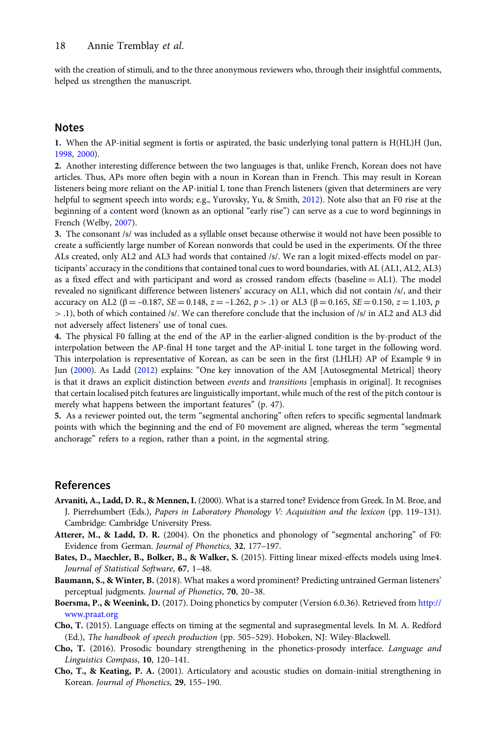<span id="page-17-0"></span>with the creation of stimuli, and to the three anonymous reviewers who, through their insightful comments, helped us strengthen the manuscript.

## **Notes**

1. When the AP-initial segment is fortis or aspirated, the basic underlying tonal pattern is H(HL)H (Jun, [1998](#page-18-0), [2000\)](#page-18-0).

2. Another interesting difference between the two languages is that, unlike French, Korean does not have articles. Thus, APs more often begin with a noun in Korean than in French. This may result in Korean listeners being more reliant on the AP-initial L tone than French listeners (given that determiners are very helpful to segment speech into words; e.g., Yurovsky, Yu, & Smith, [2012](#page-19-0)). Note also that an F0 rise at the beginning of a content word (known as an optional "early rise") can serve as a cue to word beginnings in French (Welby, [2007\)](#page-19-0).

3. The consonant /s/ was included as a syllable onset because otherwise it would not have been possible to create a sufficiently large number of Korean nonwords that could be used in the experiments. Of the three ALs created, only AL2 and AL3 had words that contained /s/. We ran a logit mixed-effects model on participants' accuracy in the conditions that contained tonal cues to word boundaries, with AL (AL1, AL2, AL3) as a fixed effect and with participant and word as crossed random effects (baseline = AL1). The model revealed no significant difference between listeners' accuracy on AL1, which did not contain /s/, and their accuracy on AL2 (β = -0.187, SE = 0.148, z = -1.262,  $p > 0.1$ ) or AL3 (β = 0.165, SE = 0.150, z = 1.103, p > .1), both of which contained /s/. We can therefore conclude that the inclusion of /s/ in AL2 and AL3 did not adversely affect listeners' use of tonal cues.

4. The physical F0 falling at the end of the AP in the earlier-aligned condition is the by-product of the interpolation between the AP-final H tone target and the AP-initial L tone target in the following word. This interpolation is representative of Korean, as can be seen in the first (LHLH) AP of Example 9 in Jun ([2000](#page-18-0)). As Ladd ([2012](#page-18-0)) explains: "One key innovation of the AM [Autosegmental Metrical] theory is that it draws an explicit distinction between events and transitions [emphasis in original]. It recognises that certain localised pitch features are linguistically important, while much of the rest of the pitch contour is merely what happens between the important features" (p. 47).

5. As a reviewer pointed out, the term "segmental anchoring" often refers to specific segmental landmark points with which the beginning and the end of F0 movement are aligned, whereas the term "segmental anchorage" refers to a region, rather than a point, in the segmental string.

# References

- Arvaniti, A., Ladd, D. R., & Mennen, I. (2000). What is a starred tone? Evidence from Greek. In M. Broe, and J. Pierrehumbert (Eds.), Papers in Laboratory Phonology V: Acquisition and the lexicon (pp. 119–131). Cambridge: Cambridge University Press.
- Atterer, M., & Ladd, D. R. (2004). On the phonetics and phonology of "segmental anchoring" of F0: Evidence from German. Journal of Phonetics, 32, 177–197.
- Bates, D., Maechler, B., Bolker, B., & Walker, S. (2015). Fitting linear mixed-effects models using lme4. Journal of Statistical Software, 67, 1–48.
- Baumann, S., & Winter, B. (2018). What makes a word prominent? Predicting untrained German listeners' perceptual judgments. Journal of Phonetics, 70, 20–38.
- Boersma, P., & Weenink, D. (2017). Doing phonetics by computer (Version 6.0.36). Retrieved from [http://](http://www.praat.org) [www.praat.org](http://www.praat.org)
- Cho, T. (2015). Language effects on timing at the segmental and suprasegmental levels. In M. A. Redford (Ed.), The handbook of speech production (pp. 505–529). Hoboken, NJ: Wiley-Blackwell.
- Cho, T. (2016). Prosodic boundary strengthening in the phonetics-prosody interface. Language and Linguistics Compass, 10, 120–141.
- Cho, T., & Keating, P. A. (2001). Articulatory and acoustic studies on domain-initial strengthening in Korean. Journal of Phonetics, 29, 155–190.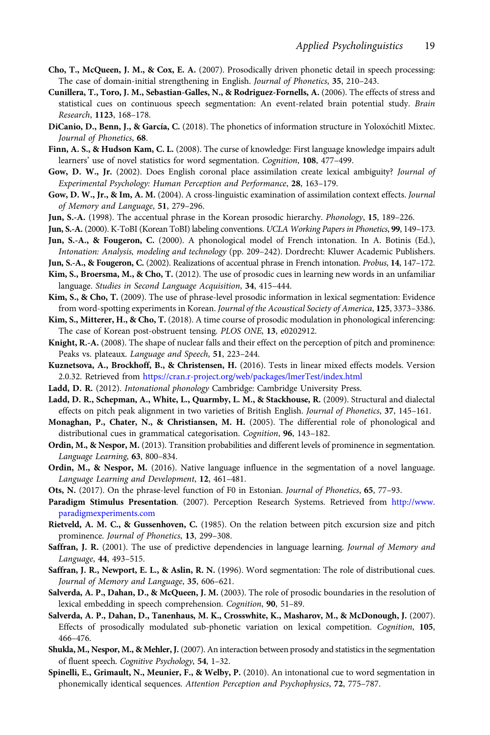- <span id="page-18-0"></span>Cho, T., McQueen, J. M., & Cox, E. A. (2007). Prosodically driven phonetic detail in speech processing: The case of domain-initial strengthening in English. Journal of Phonetics, 35, 210–243.
- Cunillera, T., Toro, J. M., Sebastian-Galles, N., & Rodriguez-Fornells, A. (2006). The effects of stress and statistical cues on continuous speech segmentation: An event-related brain potential study. Brain Research, 1123, 168–178.
- DiCanio, D., Benn, J., & García, C. (2018). The phonetics of information structure in Yoloxóchitl Mixtec. Journal of Phonetics, 68.
- Finn, A. S., & Hudson Kam, C. L. (2008). The curse of knowledge: First language knowledge impairs adult learners' use of novel statistics for word segmentation. Cognition, 108, 477–499.
- Gow, D. W., Jr. (2002). Does English coronal place assimilation create lexical ambiguity? Journal of Experimental Psychology: Human Perception and Performance, 28, 163–179.
- Gow, D. W., Jr., & Im, A. M. (2004). A cross-linguistic examination of assimilation context effects. Journal of Memory and Language, 51, 279–296.
- Jun, S.-A. (1998). The accentual phrase in the Korean prosodic hierarchy. Phonology, 15, 189–226.
- Jun, S.-A. (2000). K-ToBI (Korean ToBI) labeling conventions. UCLA Working Papers in Phonetics, 99, 149–173.
- Jun, S.-A., & Fougeron, C. (2000). A phonological model of French intonation. In A. Botinis (Ed.), Intonation: Analysis, modeling and technology (pp. 209–242). Dordrecht: Kluwer Academic Publishers.
- Jun, S.-A., & Fougeron, C. (2002). Realizations of accentual phrase in French intonation. Probus, 14, 147–172.
- Kim, S., Broersma, M., & Cho, T. (2012). The use of prosodic cues in learning new words in an unfamiliar language. Studies in Second Language Acquisition, 34, 415–444.
- Kim, S., & Cho, T. (2009). The use of phrase-level prosodic information in lexical segmentation: Evidence from word-spotting experiments in Korean. Journal of the Acoustical Society of America, 125, 3373–3386.
- Kim, S., Mitterer, H., & Cho, T. (2018). A time course of prosodic modulation in phonological inferencing: The case of Korean post-obstruent tensing. PLOS ONE, 13, e0202912.
- Knight, R.-A. (2008). The shape of nuclear falls and their effect on the perception of pitch and prominence: Peaks vs. plateaux. Language and Speech, 51, 223–244.
- Kuznetsova, A., Brockhoff, B., & Christensen, H. (2016). Tests in linear mixed effects models. Version 2.0.32. Retrieved from <https://cran.r-project.org/web/packages/lmerTest/index.html>
- Ladd, D. R. (2012). Intonational phonology Cambridge: Cambridge University Press.
- Ladd, D. R., Schepman, A., White, L., Quarmby, L. M., & Stackhouse, R. (2009). Structural and dialectal effects on pitch peak alignment in two varieties of British English. Journal of Phonetics, 37, 145–161.
- Monaghan, P., Chater, N., & Christiansen, M. H. (2005). The differential role of phonological and distributional cues in grammatical categorisation. Cognition, 96, 143–182.
- Ordin, M., & Nespor, M. (2013). Transition probabilities and different levels of prominence in segmentation. Language Learning, 63, 800–834.
- Ordin, M., & Nespor, M. (2016). Native language influence in the segmentation of a novel language. Language Learning and Development, 12, 461–481.
- Ots, N. (2017). On the phrase-level function of F0 in Estonian. Journal of Phonetics, 65, 77–93.
- Paradigm Stimulus Presentation. (2007). Perception Research Systems. Retrieved from [http://www.](http://www.paradigmexperiments.com) [paradigmexperiments.com](http://www.paradigmexperiments.com)
- Rietveld, A. M. C., & Gussenhoven, C. (1985). On the relation between pitch excursion size and pitch prominence. Journal of Phonetics, 13, 299–308.
- Saffran, J. R. (2001). The use of predictive dependencies in language learning. Journal of Memory and Language, 44, 493–515.
- Saffran, J. R., Newport, E. L., & Aslin, R. N. (1996). Word segmentation: The role of distributional cues. Journal of Memory and Language, 35, 606–621.
- Salverda, A. P., Dahan, D., & McQueen, J. M. (2003). The role of prosodic boundaries in the resolution of lexical embedding in speech comprehension. Cognition, 90, 51–89.
- Salverda, A. P., Dahan, D., Tanenhaus, M. K., Crosswhite, K., Masharov, M., & McDonough, J. (2007). Effects of prosodically modulated sub-phonetic variation on lexical competition. Cognition, 105, 466–476.
- Shukla, M., Nespor, M., & Mehler, J. (2007). An interaction between prosody and statistics in the segmentation of fluent speech. Cognitive Psychology, 54, 1–32.
- Spinelli, E., Grimault, N., Meunier, F., & Welby, P. (2010). An intonational cue to word segmentation in phonemically identical sequences. Attention Perception and Psychophysics, 72, 775–787.